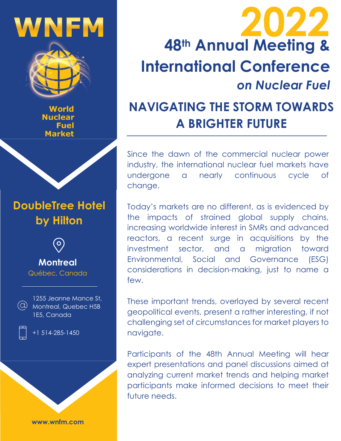# WNFM



World **Nuclear** Fuel **Market** 

# **DoubleTree Hotel by Hilton**



#### **Montreal** Québec, Canada



1255 Jeanne Mance St, Montreal, Quebec H5B 1E5, Canada



+1 514-285-1450

**www.wnfm.com**

# **48th Annual Meeting & International Conference** *on Nuclear Fuel* **2022**

# **NAVIGATING THE STORM TOWARDS A BRIGHTER FUTURE**

Since the dawn of the commercial nuclear power industry, the international nuclear fuel markets have undergone a nearly continuous cycle of change.

Today's markets are no different, as is evidenced by the impacts of strained global supply chains, increasing worldwide interest in SMRs and advanced reactors, a recent surge in acquisitions by the investment sector, and a migration toward Environmental, Social and Governance (ESG) considerations in decision-making, just to name a few.

These important trends, overlayed by several recent geopolitical events, present a rather interesting, if not challenging set of circumstances for market players to navigate.

Participants of the 48th Annual Meeting will hear expert presentations and panel discussions aimed at analyzing current market trends and helping market participants make informed decisions to meet their future needs.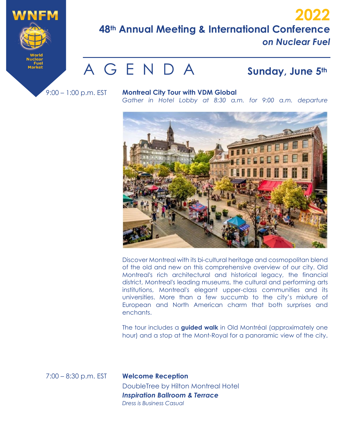

### **48th Annual Meeting & International Conference** *on Nuclear Fuel* **2022**

# A G E N D A **Sunday, June 5th**

9:00 – 1:00 p.m. EST

**Montreal City Tour with VDM Global**

*Gather in Hotel Lobby at 8:30 a.m. for 9:00 a.m. departure*



Discover Montreal with its bi-cultural heritage and cosmopolitan blend of the old and new on this comprehensive overview of our city. Old Montreal's rich architectural and historical legacy, the financial district, Montreal's leading museums, the cultural and performing arts institutions, Montreal's elegant upper-class communities and its universities. More than a few succumb to the city's mixture of European and North American charm that both surprises and enchants.

The tour includes a **guided walk** in Old Montréal (approximately one hour) and a stop at the Mont-Royal for a panoramic view of the city.

7:00 – 8:30 p.m. EST

**Welcome Reception**  DoubleTree by Hilton Montreal Hotel *Inspiration Ballroom & Terrace Dress is Business Casual*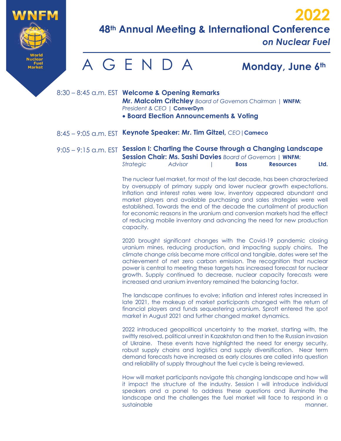

*on Nuclear Fuel*

# A G E N D A **Monday, June 6th**

- 8:30 8:45 a.m. EST **Welcome & Opening Remarks Mr. Malcolm Critchley** *Board of Governors Chairman* | **WNFM**; *President & CEO* | **ConverDyn** • **Board Election Announcements & Voting**
	-
- 8:45 9:05 a.m. EST **Keynote Speaker: Mr. Tim Gitzel,** *CEO*|**Cameco**

9:05 – 9:15 a.m. EST **Session I: Charting the Course through a Changing Landscape Session Chair: Ms. Sashi Davies** *Board of Governors* | **WNFM**;

| <b>Strategic</b> | Advisor | <b>Boss</b> | <b>Resources</b> | Ltd. |
|------------------|---------|-------------|------------------|------|

The nuclear fuel market, for most of the last decade, has been characterized by oversupply of primary supply and lower nuclear growth expectations. Inflation and interest rates were low, inventory appeared abundant and market players and available purchasing and sales strategies were well established. Towards the end of the decade the curtailment of production for economic reasons in the uranium and conversion markets had the effect of reducing mobile inventory and advancing the need for new production capacity.

2020 brought significant changes with the Covid-19 pandemic closing uranium mines, reducing production, and impacting supply chains. The climate change crisis became more critical and tangible, dates were set the achievement of net zero carbon emission. The recognition that nuclear power is central to meeting these targets has increased forecast for nuclear growth. Supply continued to decrease, nuclear capacity forecasts were increased and uranium inventory remained the balancing factor.

The landscape continues to evolve; inflation and interest rates increased in late 2021, the makeup of market participants changed with the return of financial players and funds sequestering uranium. Sprott entered the spot market in August 2021 and further changed market dynamics.

2022 introduced geopolitical uncertainty to the market, starting with, the swiftly resolved, political unrest in Kazakhstan and then to the Russian invasion of Ukraine. These events have highlighted the need for energy security, robust supply chains and logistics and supply diversification. Near term demand forecasts have increased as early closures are called into question and reliability of supply throughout the fuel cycle is being reviewed.

How will market participants navigate this changing landscape and how will it impact the structure of the industry. Session I will introduce individual speakers and a panel to address these questions and illuminate the landscape and the challenges the fuel market will face to respond in a sustainable manner.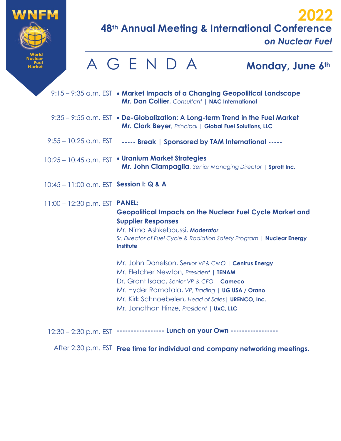

*on Nuclear Fuel*

|                                                    |  | AGENDA |           |                           |                                 | Monday, June 6th                                                                                                                                                                                                                                                                                |  |
|----------------------------------------------------|--|--------|-----------|---------------------------|---------------------------------|-------------------------------------------------------------------------------------------------------------------------------------------------------------------------------------------------------------------------------------------------------------------------------------------------|--|
|                                                    |  |        |           |                           |                                 | 9:15 – 9:35 a.m. EST • Market Impacts of a Changing Geopolitical Landscape<br>Mr. Dan Collier, Consultant   NAC International                                                                                                                                                                   |  |
|                                                    |  |        |           |                           |                                 | 9:35 - 9:55 a.m. EST • De-Globalization: A Long-term Trend in the Fuel Market<br>Mr. Clark Beyer, Principal   Global Fuel Solutions, LLC                                                                                                                                                        |  |
| $9:55 - 10:25$ a.m. EST                            |  |        |           |                           |                                 | ----- Break   Sponsored by TAM International -----                                                                                                                                                                                                                                              |  |
| 10:25 - 10:45 a.m. EST . Uranium Market Strategies |  |        |           |                           |                                 | Mr. John Ciampaglia, Senior Managing Director   Sprott Inc.                                                                                                                                                                                                                                     |  |
| 10:45 - 11:00 a.m. EST Session I: Q & A            |  |        |           |                           |                                 |                                                                                                                                                                                                                                                                                                 |  |
| $11:00 - 12:30$ p.m. EST <b>PANEL:</b>             |  |        | Institute | <b>Supplier Responses</b> | Mr. Nima Ashkeboussi, Moderator | <b>Geopolitical Impacts on the Nuclear Fuel Cycle Market and</b><br>Sr. Director of Fuel Cycle & Radiation Safety Program   Nuclear Energy                                                                                                                                                      |  |
|                                                    |  |        |           |                           |                                 | Mr. John Donelson, Senior VP& CMO   Centrus Energy<br>Mr. Fletcher Newton, President   TENAM<br>Dr. Grant Isaac, Senior VP & CFO   Cameco<br>Mr. Hyder Ramatala, VP, Trading   UG USA / Orano<br>Mr. Kirk Schnoebelen, Head of Sales   URENCO, Inc.<br>Mr. Jonathan Hinze, President   UxC, LLC |  |

12:30 - 2:30 p.m. EST **----------------- Lunch on your Own** ------------------

After 2:30 p.m. EST **Free time for individual and company networking meetings.**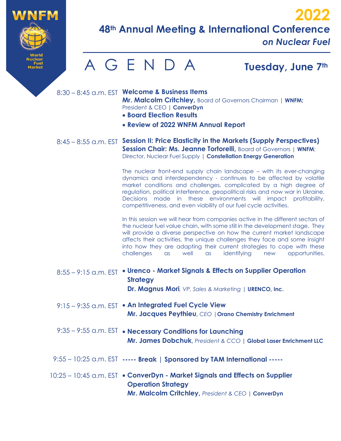

*on Nuclear Fuel*



8:30 – 8:45 a.m. EST **Welcome & Business Items Mr. Malcolm Critchley,** Board of Governors Chairman | **WNFM;**  President & CEO **| ConverDyn**

- **Board Election Results**
- **Review of 2022 WNFM Annual Report**
- 8:45 8:55 a.m. EST **Session II: Price Elasticity in the Markets (Supply Perspectives) Session Chair: Ms. Jeanne Tortorelli, Board of Governors | WNFM;** Director, Nuclear Fuel Supply | **Constellation Energy Generation**

The nuclear front-end supply chain landscape – with its ever-changing dynamics and interdependency - continues to be affected by volatile market conditions and challenges, complicated by a high degree of regulation, political interference, geopolitical risks and now war in Ukraine. Decisions made in these environments will impact profitability, competitiveness, and even viability of our fuel cycle activities.

In this session we will hear from companies active in the different sectors of the nuclear fuel value chain, with some still in the development stage. They will provide a diverse perspective on how the current market landscape affects their activities, the unique challenges they face and some insight into how they are adapting their current strategies to cope with these challenges as well as identifying new opportunities.

- 8:55 9:15 a.m. EST **Urenco Market Signals & Effects on Supplier Operation Strategy Dr. Magnus Mori***, VP, Sales & Marketing |* **URENCO, Inc.**
- 9:15 9:35 a.m. EST **An Integrated Fuel Cycle View Mr. Jacques Peythieu,** *CEO |***Orano Chemistry Enrichment**
- 9:35 9:55 a.m. EST **Necessary Conditions for Launching Mr. James Dobchuk,** *President & CCO* **| Global Laser Enrichment LLC**
- 9:55 10:25 a.m. EST **----- Break | Sponsored by TAM International -----**
- 10:25 10:45 a.m. EST **ConverDyn Market Signals and Effects on Supplier Operation Strategy Mr. Malcolm Critchley,** *President & CEO* **| ConverDyn**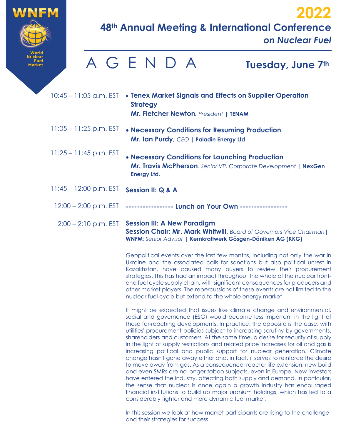

*on Nuclear Fuel*

#### 10:45 – 11:05 a.m. EST • **Tenex Market Signals and Effects on Supplier Operation** 11:05 – 11:25 p.m. EST • **Necessary Conditions for Resuming Production** 11:25 – 11:45 p.m. EST 11:45 – 12:00 p.m. EST 12:00 – 2:00 p.m. EST **Strategy Mr. Fletcher Newton***, President |* **TENAM Mr. Ian Purdy,** *CEO* **| Paladin Energy Ltd** • **Necessary Conditions for Launching Production Mr. Travis McPherson***, Senior VP, Corporate Development* **| NexGen Energy Ltd. Session II: Q & A ----------------- Lunch on Your Own -----------------**  A G E N D A **Tuesday, June 7th**

2:00 – 2:10 p.m. EST **Session III: A New Paradigm Session Chair: Mr. Mark Whitwill,** *Board of Governors Vice Chairman*| **WNFM**; *Senior Advisor* | **Kernkraftwerk Gösgen-Däniken AG (KKG)**

> Geopolitical events over the last few months, including not only the war in Ukraine and the associated calls for sanctions but also political unrest in Kazakhstan, have caused many buyers to review their procurement strategies. This has had an impact throughout the whole of the nuclear frontend fuel cycle supply chain, with significant consequences for producers and other market players. The repercussions of these events are not limited to the nuclear fuel cycle but extend to the whole energy market.

> It might be expected that issues like climate change and environmental, social and governance (ESG) would become less important in the light of these far-reaching developments. In practice, the opposite is the case, with utilities' procurement policies subject to increasing scrutiny by governments, shareholders and customers. At the same time, a desire for security of supply in the light of supply restrictions and related price increases for oil and gas is increasing political and public support for nuclear generation. Climate change hasn't gone away either and, in fact, it serves to reinforce the desire to move away from gas. As a consequence, reactor life extension, new build and even SMRs are no longer taboo subjects, even in Europe. New investors have entered the industry, affecting both supply and demand. In particular, the sense that nuclear is once again a growth industry has encouraged financial institutions to build up major uranium holdings, which has led to a considerably tighter and more dynamic fuel market.

> In this session we look at how market participants are rising to the challenge and their strategies for success.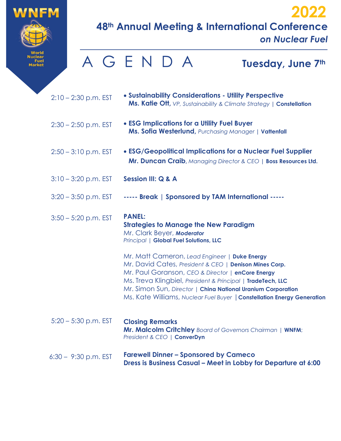

*on Nuclear Fuel*

**2022**

|                        | AGENDA<br>Tuesday, June 7th                                                                                                                                                                                                                                                                                                                                            |  |
|------------------------|------------------------------------------------------------------------------------------------------------------------------------------------------------------------------------------------------------------------------------------------------------------------------------------------------------------------------------------------------------------------|--|
| $2:10 - 2:30$ p.m. EST | • Sustainability Considerations - Utility Perspective<br><b>Ms. Katie Ott, VP, Sustainability &amp; Climate Strategy   Constellation</b>                                                                                                                                                                                                                               |  |
| $2:30 - 2:50$ p.m. EST | • ESG Implications for a Utility Fuel Buyer<br>Ms. Sofia Westerlund, Purchasing Manager   Vattenfall                                                                                                                                                                                                                                                                   |  |
| $2:50 - 3:10$ p.m. EST | • ESG/Geopolitical Implications for a Nuclear Fuel Supplier<br>Mr. Duncan Craib, Managing Director & CEO   Boss Resources Ltd.                                                                                                                                                                                                                                         |  |
| $3:10 - 3:20$ p.m. EST | <b>Session III: Q &amp; A</b>                                                                                                                                                                                                                                                                                                                                          |  |
| $3:20 - 3:50$ p.m. EST | ----- Break   Sponsored by TAM International -----                                                                                                                                                                                                                                                                                                                     |  |
| $3:50 - 5:20$ p.m. EST | <b>PANEL:</b><br><b>Strategies to Manage the New Paradigm</b><br>Mr. Clark Beyer, Moderator<br>Principal   Global Fuel Solutions, LLC                                                                                                                                                                                                                                  |  |
|                        | Mr. Matt Cameron, Lead Engineer   Duke Energy<br>Mr. David Cates, President & CEO   Denison Mines Corp.<br>Mr. Paul Goranson, CEO & Director   enCore Energy<br>Ms. Treva Klingbiel, President & Principal   TradeTech, LLC<br>Mr. Simon Sun, Director   China National Uranium Corporation<br>Ms. Kate Williams, Nuclear Fuel Buyer   Constellation Energy Generation |  |
| $5:20 - 5:30$ p.m. EST | <b>Closing Remarks</b><br>Mr. Malcolm Critchley Board of Governors Chairman   WNFM;<br>President & CEO   ConverDyn                                                                                                                                                                                                                                                     |  |
| $6:30 - 9:30$ p.m. EST | <b>Farewell Dinner - Sponsored by Cameco</b><br>Dress is Business Casual - Meet in Lobby for Departure at 6:00                                                                                                                                                                                                                                                         |  |